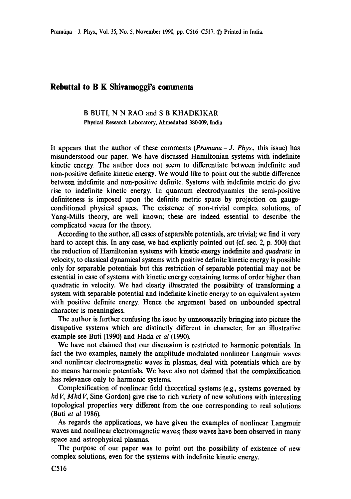## **Rebuttal to B K Shivamoggi's comments**

## B BUTI, N N RAO and S B KHADKIKAR Physical Research Laboratory, Ahmedabad 380009, India

It appears that the author of these comments *(Pramana- J. Phys.,* this issue) has misunderstood our paper. We have discussed Hamiltonian systems with indefinite kinetic energy. The author does not seem to differentiate between indefinite and non-positive definite kinetic energy. We would like to point out the subtle difference between indefinite and non-positive definite. Systems with indefinite metric do give rise to indefinite kinetic energy. In quantum electrodynamics the semi-positive definiteness is imposed upon the definite metric space by projection on gaugeconditioned physical spaces. The existence of non-trivial complex solutions, of Yang-Mills theory, are well known; these are indeed essential to describe the complicated vacua for the theory.

According to the author, all cases of separable potentials, are trivial; we find it very hard to accept this. In any case, we had explicitly pointed out (cf. sec. 2, p. 500) that the reduction of Hamiltonian systems with kinetic energy indefinite and *quadratic* in velocity, to classical dynamical systems with positive definite kinetic energy is possible only for separable potentials but this restriction of separable potential may not be essential in case of systems with kinetic energy containing terms of order higher than quadratic in velocity. We had clearly illustrated the possibility of transforming a system with separable potential and indefinite kinetic energy to an equivalent system with positive definite energy. Hence the argument based on unbounded spectral character is meaningless.

The author is further confusing the issue by unnecessarily bringing into picture the dissipative systems which are distinctly different in character; for an illustrative example see Buti (1990) and Hada *et al* (1990).

We have not claimed that our discussion is restricted to harmonic potentials. In fact the two examples, namely the amplitude modulated nonlinear Langmuir waves and nonlinear electromagnetic waves in plasmas, deal with potentials which are by no means harmonic potentials. We have also not claimed that the complexification has relevance only to harmonic systems.

Complexification of nonlinear field theoretical systems (e.g., systems governed by *kd V, Mkd V,* Sine Gordon) give rise to rich variety of new solutions with interesting topological properties very different from the one corresponding to real solutions (Buti *et al* 1986).

As regards the applications, we have given the examples of nonlinear Langmuir waves and nonlinear electromagnetic waves; these waves have been observed in many space and astrophysical plasmas.

The purpose of our paper was to point out the possibility of existence of new complex solutions, even for the systems with indefinite kinetic energy.